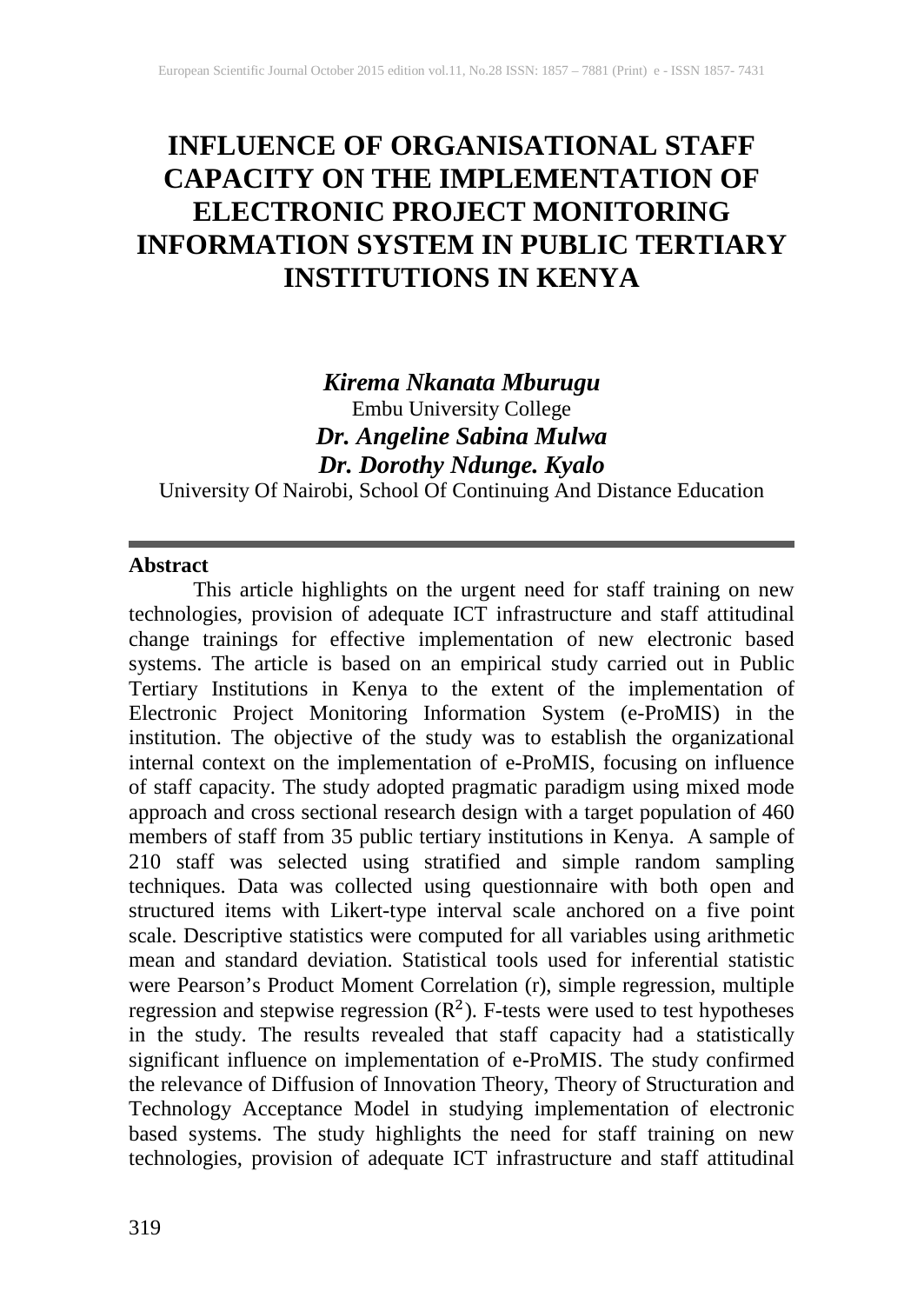# **INFLUENCE OF ORGANISATIONAL STAFF CAPACITY ON THE IMPLEMENTATION OF ELECTRONIC PROJECT MONITORING INFORMATION SYSTEM IN PUBLIC TERTIARY INSTITUTIONS IN KENYA**

## *Kirema Nkanata Mburugu* Embu University College *Dr. Angeline Sabina Mulwa Dr. Dorothy Ndunge. Kyalo*

University Of Nairobi, School Of Continuing And Distance Education

## **Abstract**

This article highlights on the urgent need for staff training on new technologies, provision of adequate ICT infrastructure and staff attitudinal change trainings for effective implementation of new electronic based systems. The article is based on an empirical study carried out in Public Tertiary Institutions in Kenya to the extent of the implementation of Electronic Project Monitoring Information System (e-ProMIS) in the institution. The objective of the study was to establish the organizational internal context on the implementation of e-ProMIS, focusing on influence of staff capacity. The study adopted pragmatic paradigm using mixed mode approach and cross sectional research design with a target population of 460 members of staff from 35 public tertiary institutions in Kenya. A sample of 210 staff was selected using stratified and simple random sampling techniques. Data was collected using questionnaire with both open and structured items with Likert-type interval scale anchored on a five point scale. Descriptive statistics were computed for all variables using arithmetic mean and standard deviation. Statistical tools used for inferential statistic were Pearson's Product Moment Correlation (r), simple regression, multiple regression and stepwise regression  $(R^2)$ . F-tests were used to test hypotheses in the study. The results revealed that staff capacity had a statistically significant influence on implementation of e-ProMIS. The study confirmed the relevance of Diffusion of Innovation Theory, Theory of Structuration and Technology Acceptance Model in studying implementation of electronic based systems. The study highlights the need for staff training on new technologies, provision of adequate ICT infrastructure and staff attitudinal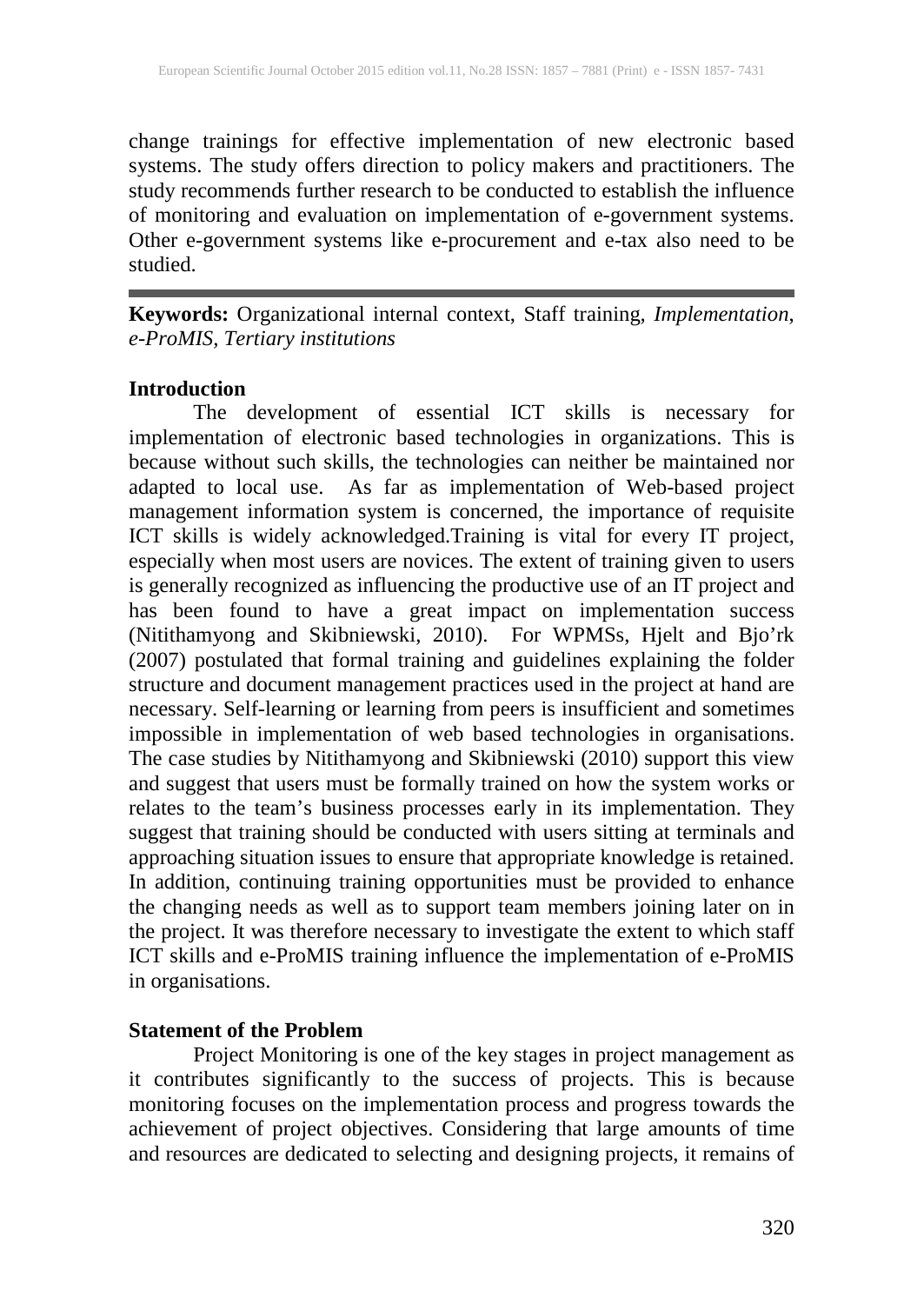change trainings for effective implementation of new electronic based systems. The study offers direction to policy makers and practitioners. The study recommends further research to be conducted to establish the influence of monitoring and evaluation on implementation of e-government systems. Other e-government systems like e-procurement and e-tax also need to be studied.

**Keywords:** Organizational internal context, Staff training*, Implementation*, *e-ProMIS, Tertiary institutions*

#### **Introduction**

The development of essential ICT skills is necessary for implementation of electronic based technologies in organizations. This is because without such skills, the technologies can neither be maintained nor adapted to local use. As far as implementation of Web-based project management information system is concerned, the importance of requisite ICT skills is widely acknowledged.Training is vital for every IT project, especially when most users are novices. The extent of training given to users is generally recognized as influencing the productive use of an IT project and has been found to have a great impact on implementation success (Nitithamyong and Skibniewski, 2010). For WPMSs, Hjelt and Bjo'rk (2007) postulated that formal training and guidelines explaining the folder structure and document management practices used in the project at hand are necessary. Self-learning or learning from peers is insufficient and sometimes impossible in implementation of web based technologies in organisations. The case studies by Nitithamyong and Skibniewski (2010) support this view and suggest that users must be formally trained on how the system works or relates to the team's business processes early in its implementation. They suggest that training should be conducted with users sitting at terminals and approaching situation issues to ensure that appropriate knowledge is retained. In addition, continuing training opportunities must be provided to enhance the changing needs as well as to support team members joining later on in the project. It was therefore necessary to investigate the extent to which staff ICT skills and e-ProMIS training influence the implementation of e-ProMIS in organisations.

## **Statement of the Problem**

Project Monitoring is one of the key stages in project management as it contributes significantly to the success of projects. This is because monitoring focuses on the implementation process and progress towards the achievement of project objectives. Considering that large amounts of time and resources are dedicated to selecting and designing projects, it remains of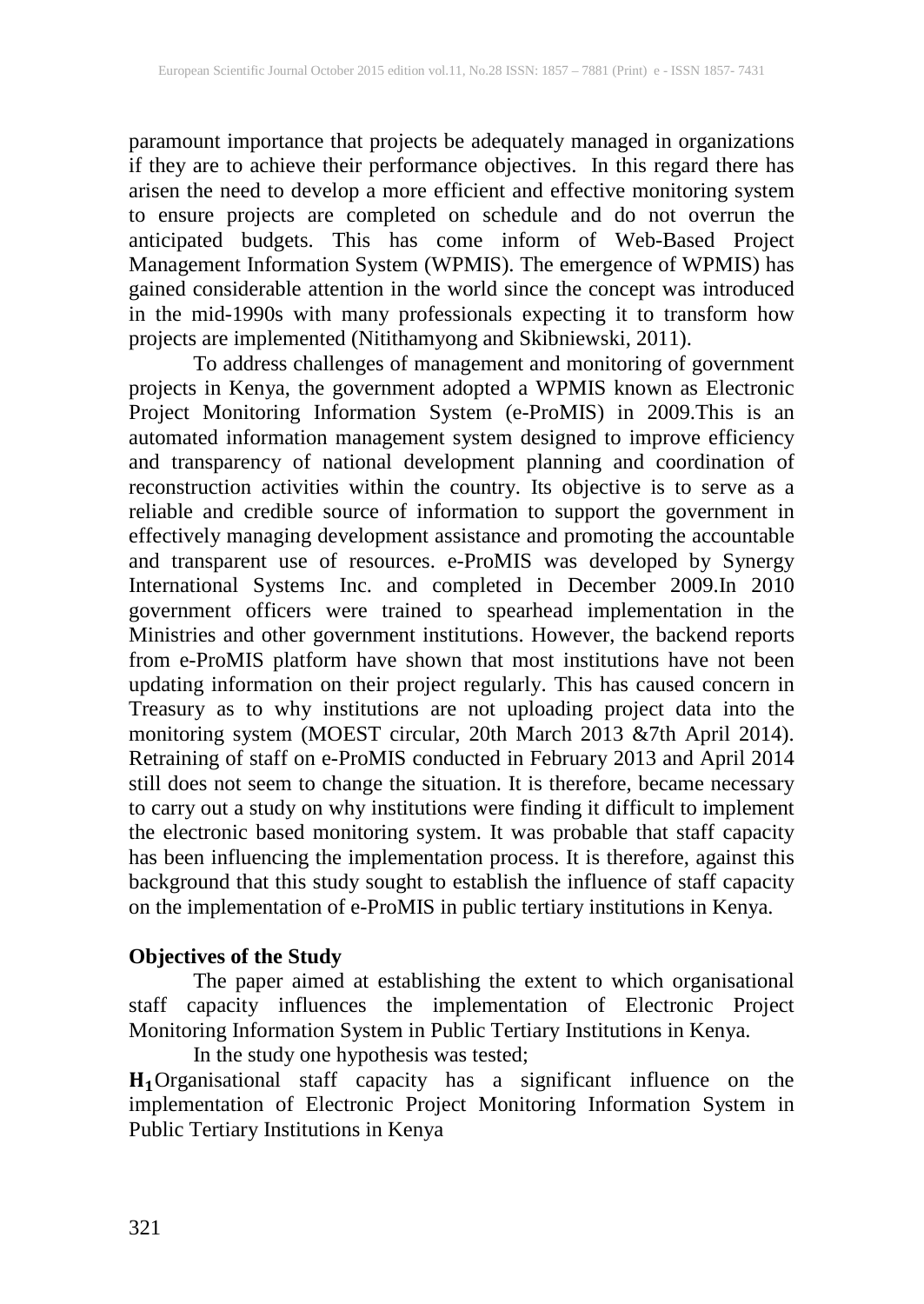paramount importance that projects be adequately managed in organizations if they are to achieve their performance objectives. In this regard there has arisen the need to develop a more efficient and effective monitoring system to ensure projects are completed on schedule and do not overrun the anticipated budgets. This has come inform of Web-Based Project Management Information System (WPMIS). The emergence of WPMIS) has gained considerable attention in the world since the concept was introduced in the mid-1990s with many professionals expecting it to transform how projects are implemented (Nitithamyong and Skibniewski, 2011).

To address challenges of management and monitoring of government projects in Kenya, the government adopted a WPMIS known as Electronic Project Monitoring Information System (e-ProMIS) in 2009.This is an automated information management system designed to improve efficiency and transparency of national development planning and coordination of reconstruction activities within the country. Its objective is to serve as a reliable and credible source of information to support the government in effectively managing development assistance and promoting the accountable and transparent use of resources. e-ProMIS was developed by Synergy International Systems Inc. and completed in December 2009.In 2010 government officers were trained to spearhead implementation in the Ministries and other government institutions. However, the backend reports from e-ProMIS platform have shown that most institutions have not been updating information on their project regularly. This has caused concern in Treasury as to why institutions are not uploading project data into the monitoring system (MOEST circular, 20th March 2013 &7th April 2014). Retraining of staff on e-ProMIS conducted in February 2013 and April 2014 still does not seem to change the situation. It is therefore, became necessary to carry out a study on why institutions were finding it difficult to implement the electronic based monitoring system. It was probable that staff capacity has been influencing the implementation process. It is therefore, against this background that this study sought to establish the influence of staff capacity on the implementation of e-ProMIS in public tertiary institutions in Kenya.

## **Objectives of the Study**

The paper aimed at establishing the extent to which organisational staff capacity influences the implementation of Electronic Project Monitoring Information System in Public Tertiary Institutions in Kenya.

In the study one hypothesis was tested;

Organisational staff capacity has a significant influence on the implementation of Electronic Project Monitoring Information System in Public Tertiary Institutions in Kenya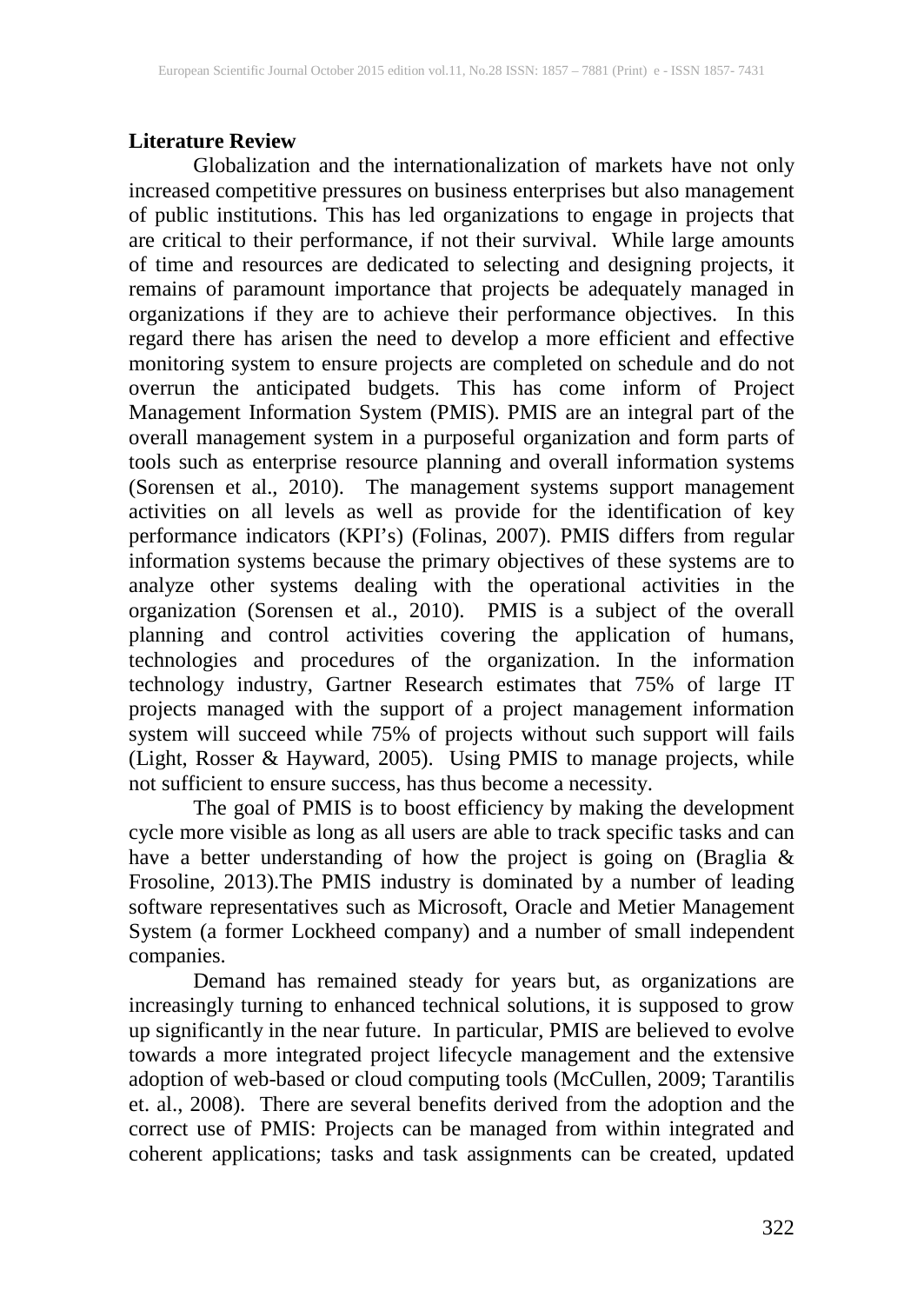## **Literature Review**

Globalization and the internationalization of markets have not only increased competitive pressures on business enterprises but also management of public institutions. This has led organizations to engage in projects that are critical to their performance, if not their survival. While large amounts of time and resources are dedicated to selecting and designing projects, it remains of paramount importance that projects be adequately managed in organizations if they are to achieve their performance objectives. In this regard there has arisen the need to develop a more efficient and effective monitoring system to ensure projects are completed on schedule and do not overrun the anticipated budgets. This has come inform of Project Management Information System (PMIS). PMIS are an integral part of the overall management system in a purposeful organization and form parts of tools such as enterprise resource planning and overall information systems (Sorensen et al., 2010). The management systems support management activities on all levels as well as provide for the identification of key performance indicators (KPI's) (Folinas, 2007). PMIS differs from regular information systems because the primary objectives of these systems are to analyze other systems dealing with the operational activities in the organization (Sorensen et al., 2010). PMIS is a subject of the overall planning and control activities covering the application of humans, technologies and procedures of the organization. In the information technology industry, Gartner Research estimates that 75% of large IT projects managed with the support of a project management information system will succeed while 75% of projects without such support will fails (Light, Rosser & Hayward, 2005). Using PMIS to manage projects, while not sufficient to ensure success, has thus become a necessity.

The goal of PMIS is to boost efficiency by making the development cycle more visible as long as all users are able to track specific tasks and can have a better understanding of how the project is going on (Braglia & Frosoline, 2013).The PMIS industry is dominated by a number of leading software representatives such as Microsoft, Oracle and Metier Management System (a former Lockheed company) and a number of small independent companies.

Demand has remained steady for years but, as organizations are increasingly turning to enhanced technical solutions, it is supposed to grow up significantly in the near future. In particular, PMIS are believed to evolve towards a more integrated project lifecycle management and the extensive adoption of web-based or cloud computing tools (McCullen, 2009; Tarantilis et. al., 2008). There are several benefits derived from the adoption and the correct use of PMIS: Projects can be managed from within integrated and coherent applications; tasks and task assignments can be created, updated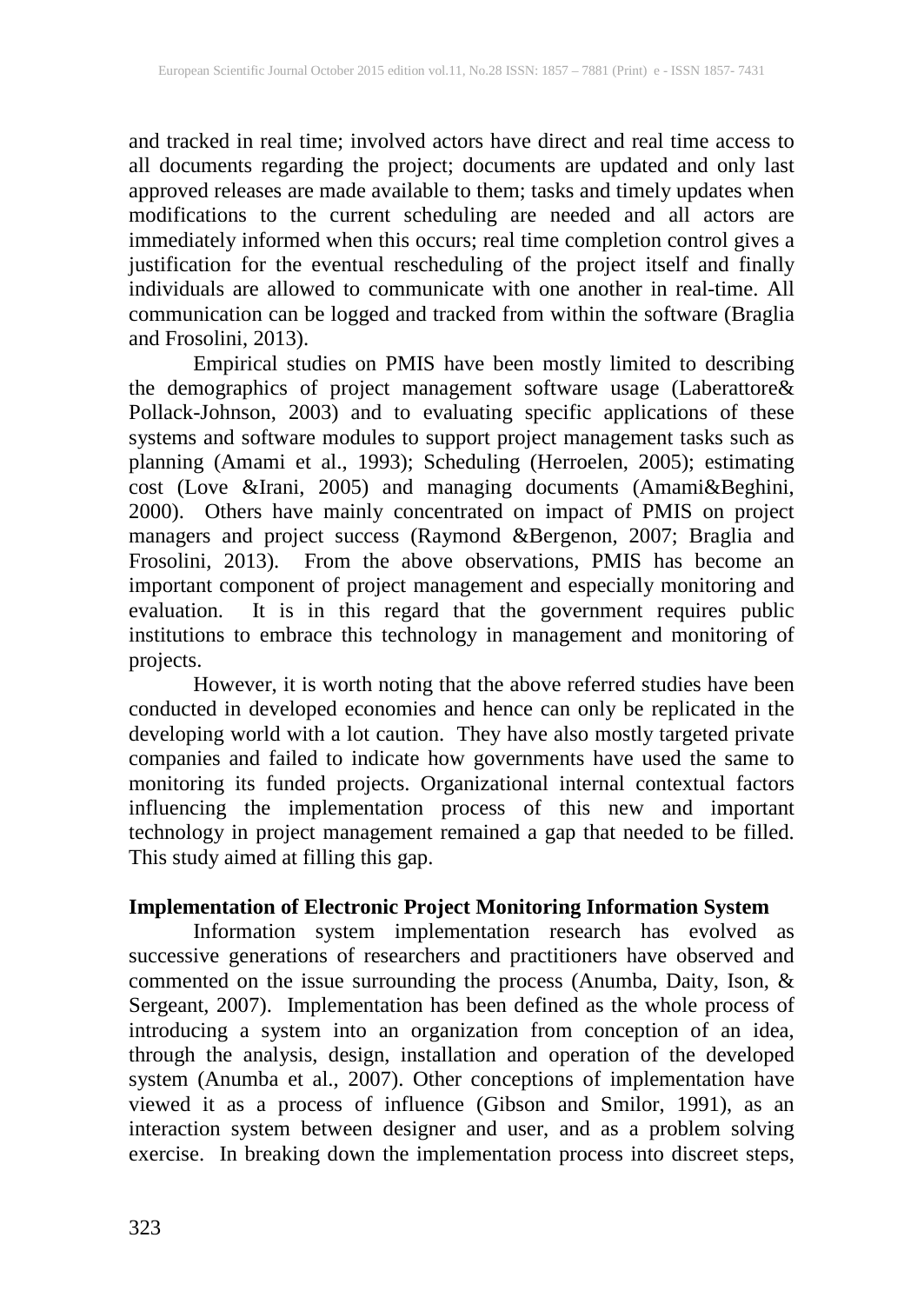and tracked in real time; involved actors have direct and real time access to all documents regarding the project; documents are updated and only last approved releases are made available to them; tasks and timely updates when modifications to the current scheduling are needed and all actors are immediately informed when this occurs; real time completion control gives a justification for the eventual rescheduling of the project itself and finally individuals are allowed to communicate with one another in real-time. All communication can be logged and tracked from within the software (Braglia and Frosolini, 2013).

Empirical studies on PMIS have been mostly limited to describing the demographics of project management software usage (Laberattore& Pollack-Johnson, 2003) and to evaluating specific applications of these systems and software modules to support project management tasks such as planning (Amami et al., 1993); Scheduling (Herroelen, 2005); estimating cost (Love &Irani, 2005) and managing documents (Amami&Beghini, 2000). Others have mainly concentrated on impact of PMIS on project managers and project success (Raymond &Bergenon, 2007; Braglia and Frosolini, 2013). From the above observations, PMIS has become an important component of project management and especially monitoring and evaluation. It is in this regard that the government requires public institutions to embrace this technology in management and monitoring of projects.

However, it is worth noting that the above referred studies have been conducted in developed economies and hence can only be replicated in the developing world with a lot caution. They have also mostly targeted private companies and failed to indicate how governments have used the same to monitoring its funded projects. Organizational internal contextual factors influencing the implementation process of this new and important technology in project management remained a gap that needed to be filled. This study aimed at filling this gap.

## **Implementation of Electronic Project Monitoring Information System**

Information system implementation research has evolved as successive generations of researchers and practitioners have observed and commented on the issue surrounding the process (Anumba, Daity, Ison, & Sergeant, 2007). Implementation has been defined as the whole process of introducing a system into an organization from conception of an idea, through the analysis, design, installation and operation of the developed system (Anumba et al., 2007). Other conceptions of implementation have viewed it as a process of influence (Gibson and Smilor, 1991), as an interaction system between designer and user, and as a problem solving exercise. In breaking down the implementation process into discreet steps,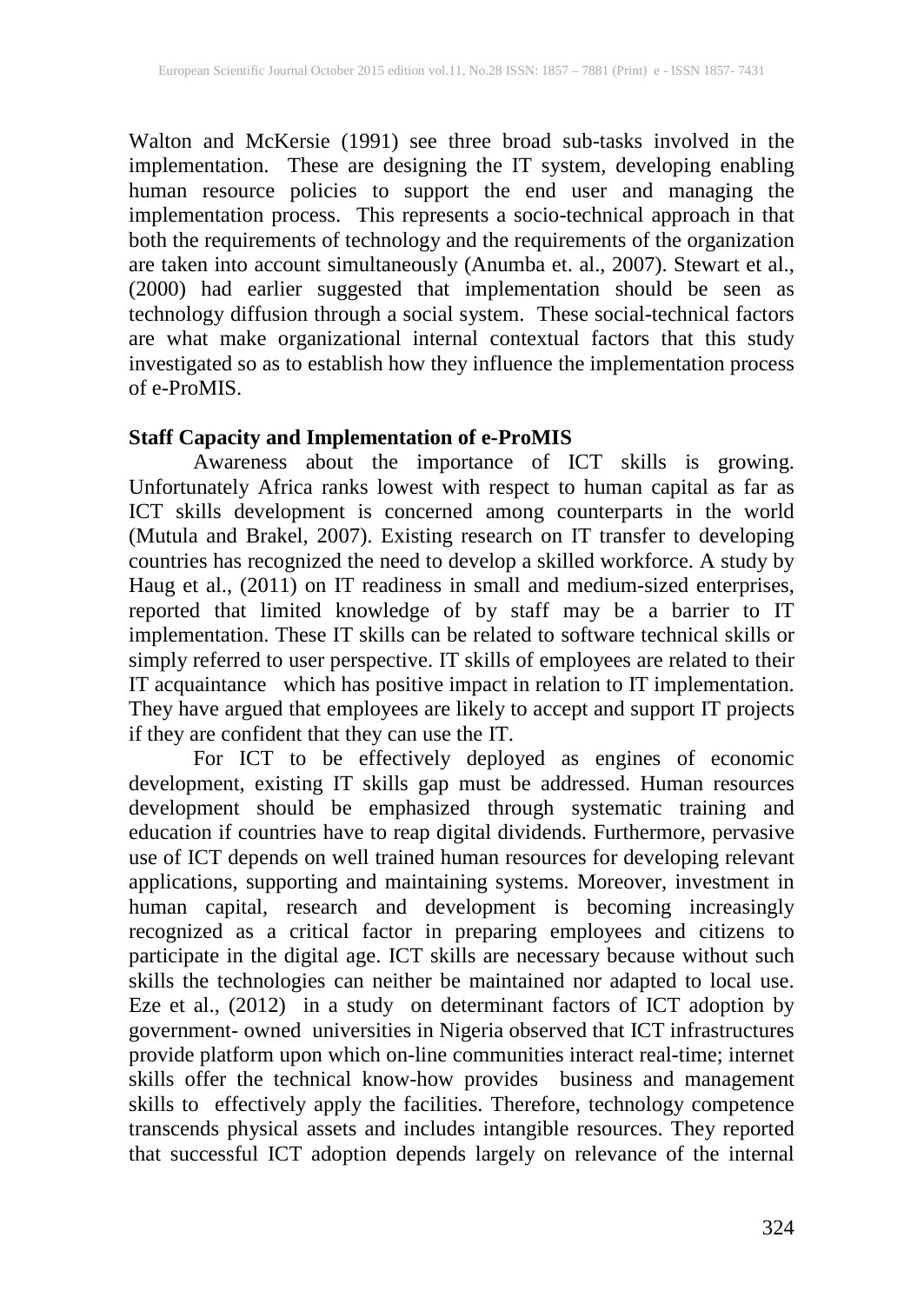Walton and McKersie (1991) see three broad sub-tasks involved in the implementation. These are designing the IT system, developing enabling human resource policies to support the end user and managing the implementation process. This represents a socio-technical approach in that both the requirements of technology and the requirements of the organization are taken into account simultaneously (Anumba et. al., 2007). Stewart et al., (2000) had earlier suggested that implementation should be seen as technology diffusion through a social system. These social-technical factors are what make organizational internal contextual factors that this study investigated so as to establish how they influence the implementation process of e-ProMIS.

## **Staff Capacity and Implementation of e-ProMIS**

Awareness about the importance of ICT skills is growing. Unfortunately Africa ranks lowest with respect to human capital as far as ICT skills development is concerned among counterparts in the world (Mutula and Brakel, 2007). Existing research on IT transfer to developing countries has recognized the need to develop a skilled workforce. A study by Haug et al., (2011) on IT readiness in small and medium-sized enterprises, reported that limited knowledge of by staff may be a barrier to IT implementation. These IT skills can be related to software technical skills or simply referred to user perspective. IT skills of employees are related to their IT acquaintance which has positive impact in relation to IT implementation. They have argued that employees are likely to accept and support IT projects if they are confident that they can use the IT.

For ICT to be effectively deployed as engines of economic development, existing IT skills gap must be addressed. Human resources development should be emphasized through systematic training and education if countries have to reap digital dividends. Furthermore, pervasive use of ICT depends on well trained human resources for developing relevant applications, supporting and maintaining systems. Moreover, investment in human capital, research and development is becoming increasingly recognized as a critical factor in preparing employees and citizens to participate in the digital age. ICT skills are necessary because without such skills the technologies can neither be maintained nor adapted to local use. Eze et al., (2012) in a study on determinant factors of ICT adoption by government- owned universities in Nigeria observed that ICT infrastructures provide platform upon which on-line communities interact real-time; internet skills offer the technical know-how provides business and management skills to effectively apply the facilities. Therefore, technology competence transcends physical assets and includes intangible resources. They reported that successful ICT adoption depends largely on relevance of the internal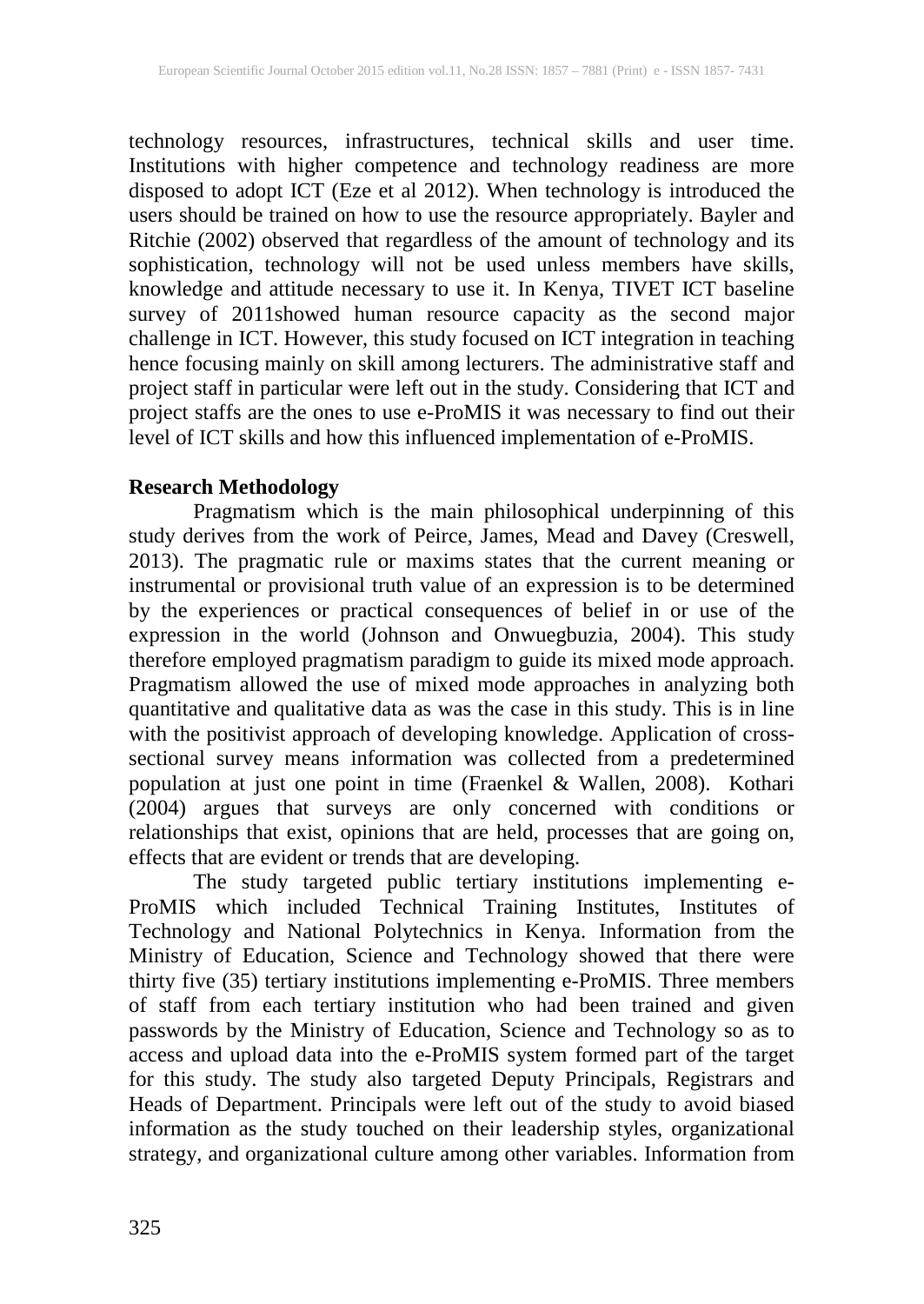technology resources, infrastructures, technical skills and user time. Institutions with higher competence and technology readiness are more disposed to adopt ICT (Eze et al 2012). When technology is introduced the users should be trained on how to use the resource appropriately. Bayler and Ritchie (2002) observed that regardless of the amount of technology and its sophistication, technology will not be used unless members have skills, knowledge and attitude necessary to use it. In Kenya, TIVET ICT baseline survey of 2011showed human resource capacity as the second major challenge in ICT. However, this study focused on ICT integration in teaching hence focusing mainly on skill among lecturers. The administrative staff and project staff in particular were left out in the study. Considering that ICT and project staffs are the ones to use e-ProMIS it was necessary to find out their level of ICT skills and how this influenced implementation of e-ProMIS.

#### **Research Methodology**

Pragmatism which is the main philosophical underpinning of this study derives from the work of Peirce, James, Mead and Davey (Creswell, 2013). The pragmatic rule or maxims states that the current meaning or instrumental or provisional truth value of an expression is to be determined by the experiences or practical consequences of belief in or use of the expression in the world (Johnson and Onwuegbuzia, 2004). This study therefore employed pragmatism paradigm to guide its mixed mode approach. Pragmatism allowed the use of mixed mode approaches in analyzing both quantitative and qualitative data as was the case in this study. This is in line with the positivist approach of developing knowledge. Application of crosssectional survey means information was collected from a predetermined population at just one point in time (Fraenkel & Wallen, 2008). Kothari (2004) argues that surveys are only concerned with conditions or relationships that exist, opinions that are held, processes that are going on, effects that are evident or trends that are developing.

The study targeted public tertiary institutions implementing e-ProMIS which included Technical Training Institutes, Institutes of Technology and National Polytechnics in Kenya. Information from the Ministry of Education, Science and Technology showed that there were thirty five (35) tertiary institutions implementing e-ProMIS. Three members of staff from each tertiary institution who had been trained and given passwords by the Ministry of Education, Science and Technology so as to access and upload data into the e-ProMIS system formed part of the target for this study. The study also targeted Deputy Principals, Registrars and Heads of Department. Principals were left out of the study to avoid biased information as the study touched on their leadership styles, organizational strategy, and organizational culture among other variables. Information from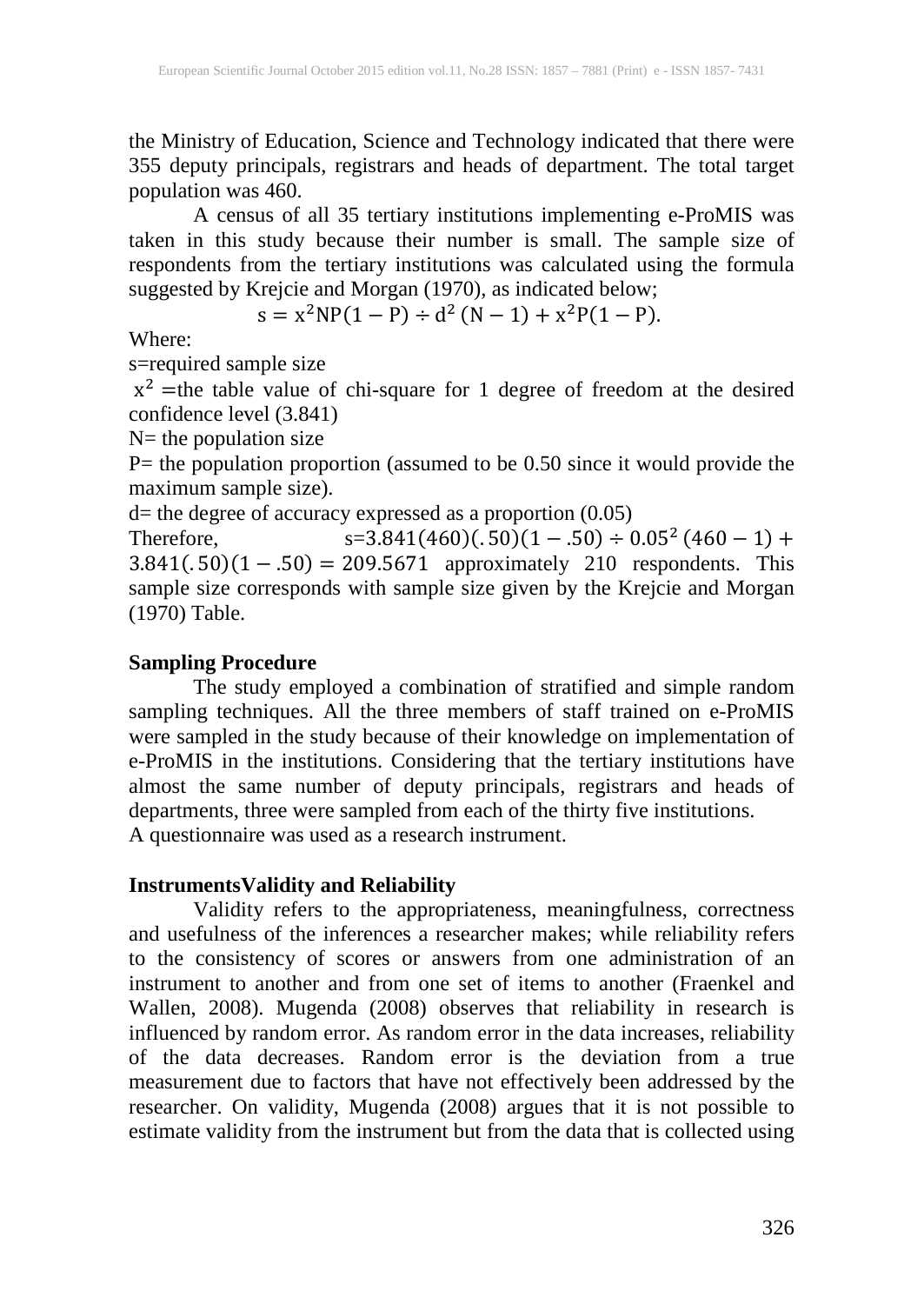the Ministry of Education, Science and Technology indicated that there were 355 deputy principals, registrars and heads of department. The total target population was 460.

A census of all 35 tertiary institutions implementing e-ProMIS was taken in this study because their number is small. The sample size of respondents from the tertiary institutions was calculated using the formula suggested by Krejcie and Morgan (1970), as indicated below;

$$
s = x^2 NP(1 - P) \div d^2 (N - 1) + x^2 P(1 - P).
$$

Where:

s=required sample size

 $x^2$  =the table value of chi-square for 1 degree of freedom at the desired confidence level (3.841)

 $N=$  the population size

P= the population proportion (assumed to be 0.50 since it would provide the maximum sample size).

d= the degree of accuracy expressed as a proportion (0.05)

Therefore,  $s=3.841(460)(.50)(1-.50) \div 0.05^2 (460-1) +$  $3.841(.50)(1-.50) = 209.5671$  approximately 210 respondents. This sample size corresponds with sample size given by the Krejcie and Morgan (1970) Table.

## **Sampling Procedure**

The study employed a combination of stratified and simple random sampling techniques. All the three members of staff trained on e-ProMIS were sampled in the study because of their knowledge on implementation of e-ProMIS in the institutions. Considering that the tertiary institutions have almost the same number of deputy principals, registrars and heads of departments, three were sampled from each of the thirty five institutions. A questionnaire was used as a research instrument.

## **InstrumentsValidity and Reliability**

Validity refers to the appropriateness, meaningfulness, correctness and usefulness of the inferences a researcher makes; while reliability refers to the consistency of scores or answers from one administration of an instrument to another and from one set of items to another (Fraenkel and Wallen, 2008). Mugenda (2008) observes that reliability in research is influenced by random error. As random error in the data increases, reliability of the data decreases. Random error is the deviation from a true measurement due to factors that have not effectively been addressed by the researcher. On validity, Mugenda (2008) argues that it is not possible to estimate validity from the instrument but from the data that is collected using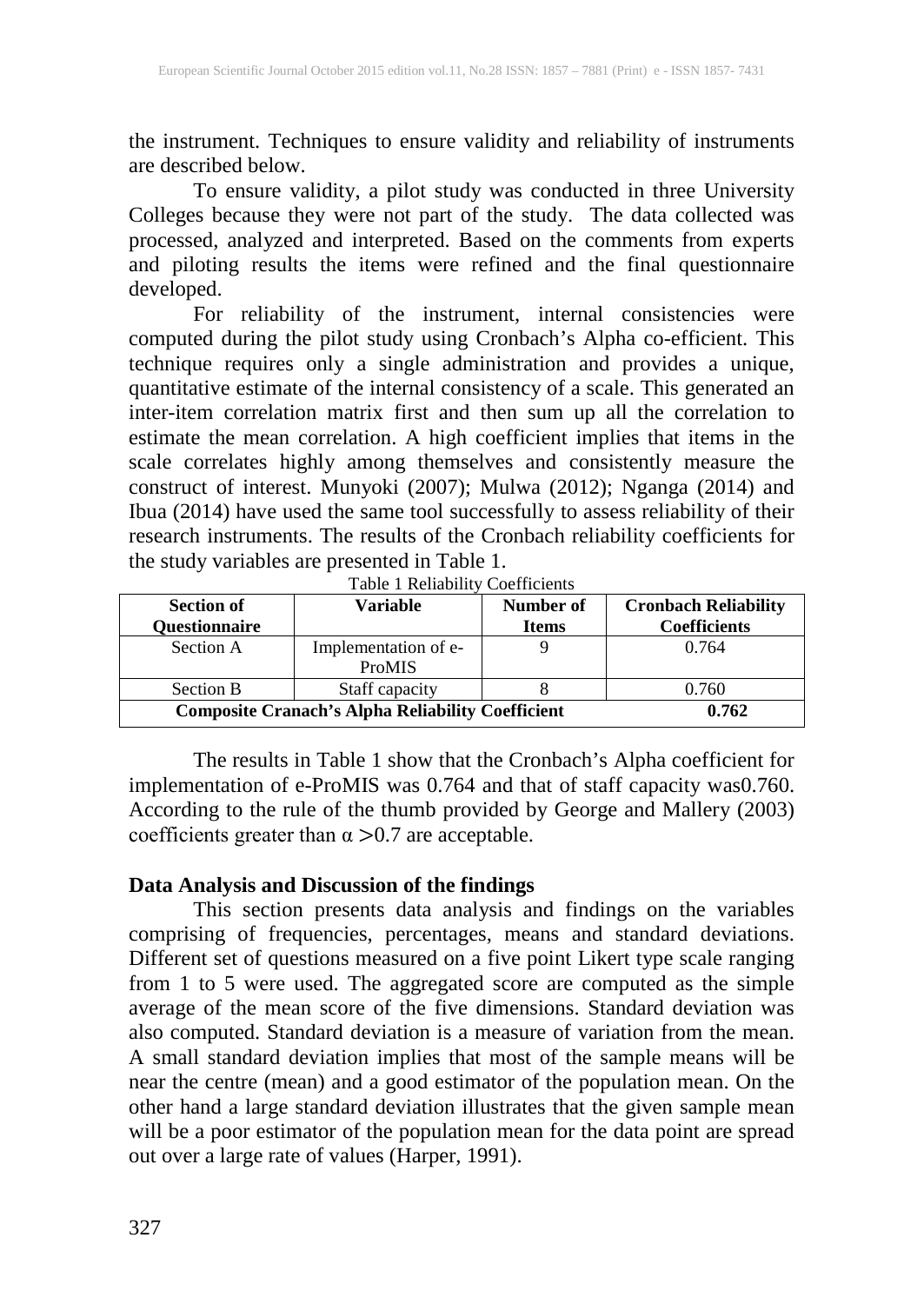the instrument. Techniques to ensure validity and reliability of instruments are described below.

To ensure validity, a pilot study was conducted in three University Colleges because they were not part of the study. The data collected was processed, analyzed and interpreted. Based on the comments from experts and piloting results the items were refined and the final questionnaire developed.

For reliability of the instrument, internal consistencies were computed during the pilot study using Cronbach's Alpha co-efficient. This technique requires only a single administration and provides a unique, quantitative estimate of the internal consistency of a scale. This generated an inter-item correlation matrix first and then sum up all the correlation to estimate the mean correlation. A high coefficient implies that items in the scale correlates highly among themselves and consistently measure the construct of interest. Munyoki (2007); Mulwa (2012); Nganga (2014) and Ibua (2014) have used the same tool successfully to assess reliability of their research instruments. The results of the Cronbach reliability coefficients for the study variables are presented in Table 1.

| <b>Section of</b><br>Ouestionnaire                       | Variable                       | Number of<br><b>Items</b> | <b>Cronbach Reliability</b><br><b>Coefficients</b> |  |
|----------------------------------------------------------|--------------------------------|---------------------------|----------------------------------------------------|--|
| Section A                                                | Implementation of e-<br>ProMIS |                           | 0.764                                              |  |
| Section B                                                | Staff capacity                 |                           | 0.760                                              |  |
| <b>Composite Cranach's Alpha Reliability Coefficient</b> | 0.762                          |                           |                                                    |  |

Table 1 Reliability Coefficients

The results in Table 1 show that the Cronbach's Alpha coefficient for implementation of e-ProMIS was 0.764 and that of staff capacity was0.760. According to the rule of the thumb provided by George and Mallery (2003) coefficients greater than  $\alpha > 0.7$  are acceptable.

#### **Data Analysis and Discussion of the findings**

This section presents data analysis and findings on the variables comprising of frequencies, percentages, means and standard deviations. Different set of questions measured on a five point Likert type scale ranging from 1 to 5 were used. The aggregated score are computed as the simple average of the mean score of the five dimensions. Standard deviation was also computed. Standard deviation is a measure of variation from the mean. A small standard deviation implies that most of the sample means will be near the centre (mean) and a good estimator of the population mean. On the other hand a large standard deviation illustrates that the given sample mean will be a poor estimator of the population mean for the data point are spread out over a large rate of values (Harper, 1991).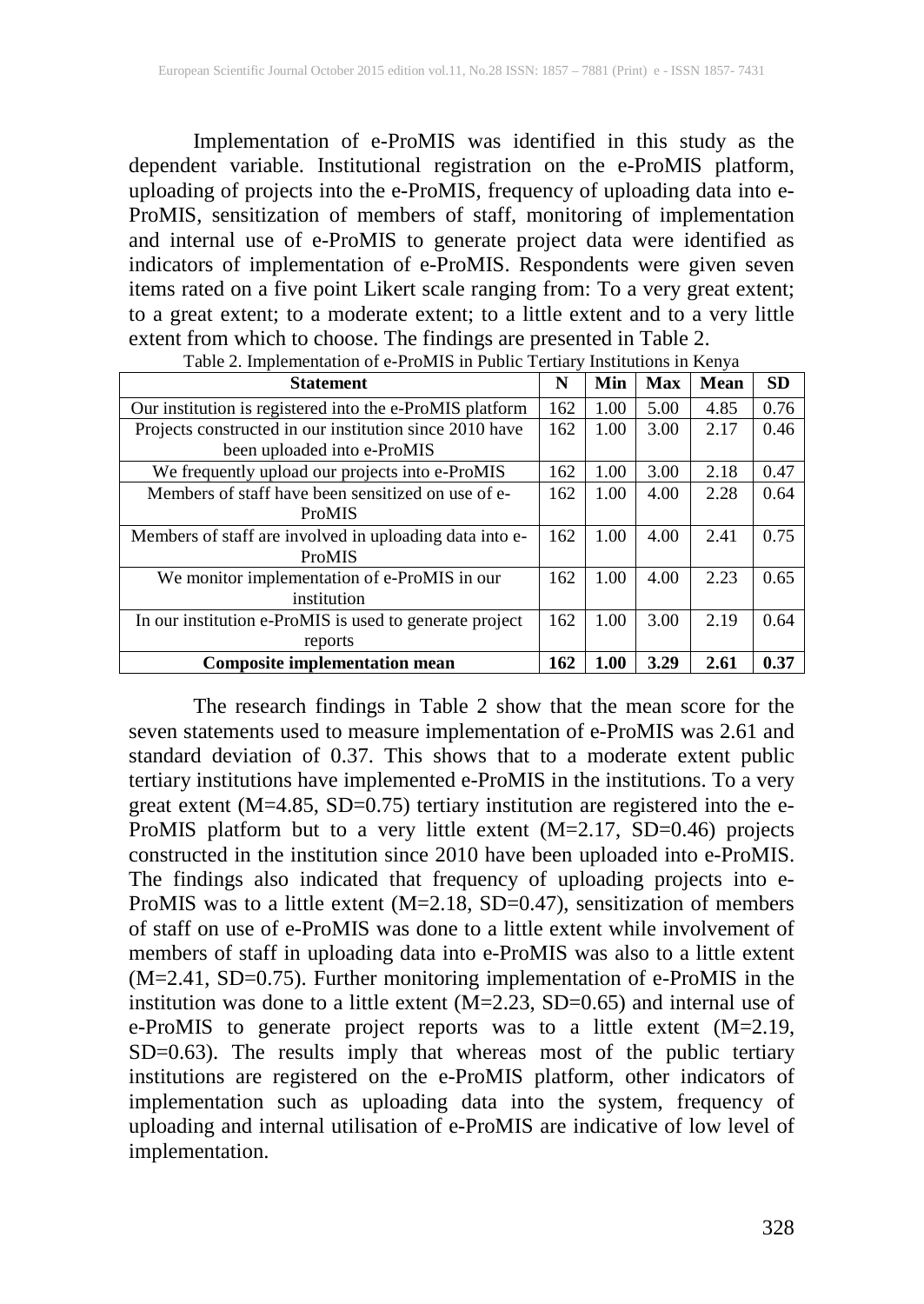Implementation of e-ProMIS was identified in this study as the dependent variable. Institutional registration on the e-ProMIS platform, uploading of projects into the e-ProMIS, frequency of uploading data into e-ProMIS, sensitization of members of staff, monitoring of implementation and internal use of e-ProMIS to generate project data were identified as indicators of implementation of e-ProMIS. Respondents were given seven items rated on a five point Likert scale ranging from: To a very great extent; to a great extent; to a moderate extent; to a little extent and to a very little extent from which to choose. The findings are presented in Table 2.

| <b>Statement</b>                                         | N   | Min  | <b>Max</b> | <b>Mean</b> | <b>SD</b> |
|----------------------------------------------------------|-----|------|------------|-------------|-----------|
| Our institution is registered into the e-ProMIS platform | 162 | 1.00 | 5.00       | 4.85        | 0.76      |
| Projects constructed in our institution since 2010 have  | 162 | 1.00 | 3.00       | 2.17        | 0.46      |
| been uploaded into e-ProMIS                              |     |      |            |             |           |
| We frequently upload our projects into e-ProMIS          | 162 | 1.00 | 3.00       | 2.18        | 0.47      |
| Members of staff have been sensitized on use of e-       | 162 | 1.00 | 4.00       | 2.28        | 0.64      |
| ProMIS                                                   |     |      |            |             |           |
| Members of staff are involved in uploading data into e-  | 162 | 1.00 | 4.00       | 2.41        | 0.75      |
| ProMIS                                                   |     |      |            |             |           |
| We monitor implementation of e-ProMIS in our             | 162 | 1.00 | 4.00       | 2.23        | 0.65      |
| institution                                              |     |      |            |             |           |
| In our institution e-ProMIS is used to generate project  | 162 | 1.00 | 3.00       | 2.19        | 0.64      |
| reports                                                  |     |      |            |             |           |
| <b>Composite implementation mean</b>                     | 162 | 1.00 | 3.29       | 2.61        | 0.37      |

Table 2. Implementation of e-ProMIS in Public Tertiary Institutions in Kenya

The research findings in Table 2 show that the mean score for the seven statements used to measure implementation of e-ProMIS was 2.61 and standard deviation of 0.37. This shows that to a moderate extent public tertiary institutions have implemented e-ProMIS in the institutions. To a very great extent (M=4.85, SD=0.75) tertiary institution are registered into the e-ProMIS platform but to a very little extent (M=2.17, SD=0.46) projects constructed in the institution since 2010 have been uploaded into e-ProMIS. The findings also indicated that frequency of uploading projects into e-ProMIS was to a little extent (M=2.18, SD=0.47), sensitization of members of staff on use of e-ProMIS was done to a little extent while involvement of members of staff in uploading data into e-ProMIS was also to a little extent (M=2.41, SD=0.75). Further monitoring implementation of e-ProMIS in the institution was done to a little extent  $(M=2.23, SD=0.65)$  and internal use of e-ProMIS to generate project reports was to a little extent (M=2.19, SD=0.63). The results imply that whereas most of the public tertiary institutions are registered on the e-ProMIS platform, other indicators of implementation such as uploading data into the system, frequency of uploading and internal utilisation of e-ProMIS are indicative of low level of implementation.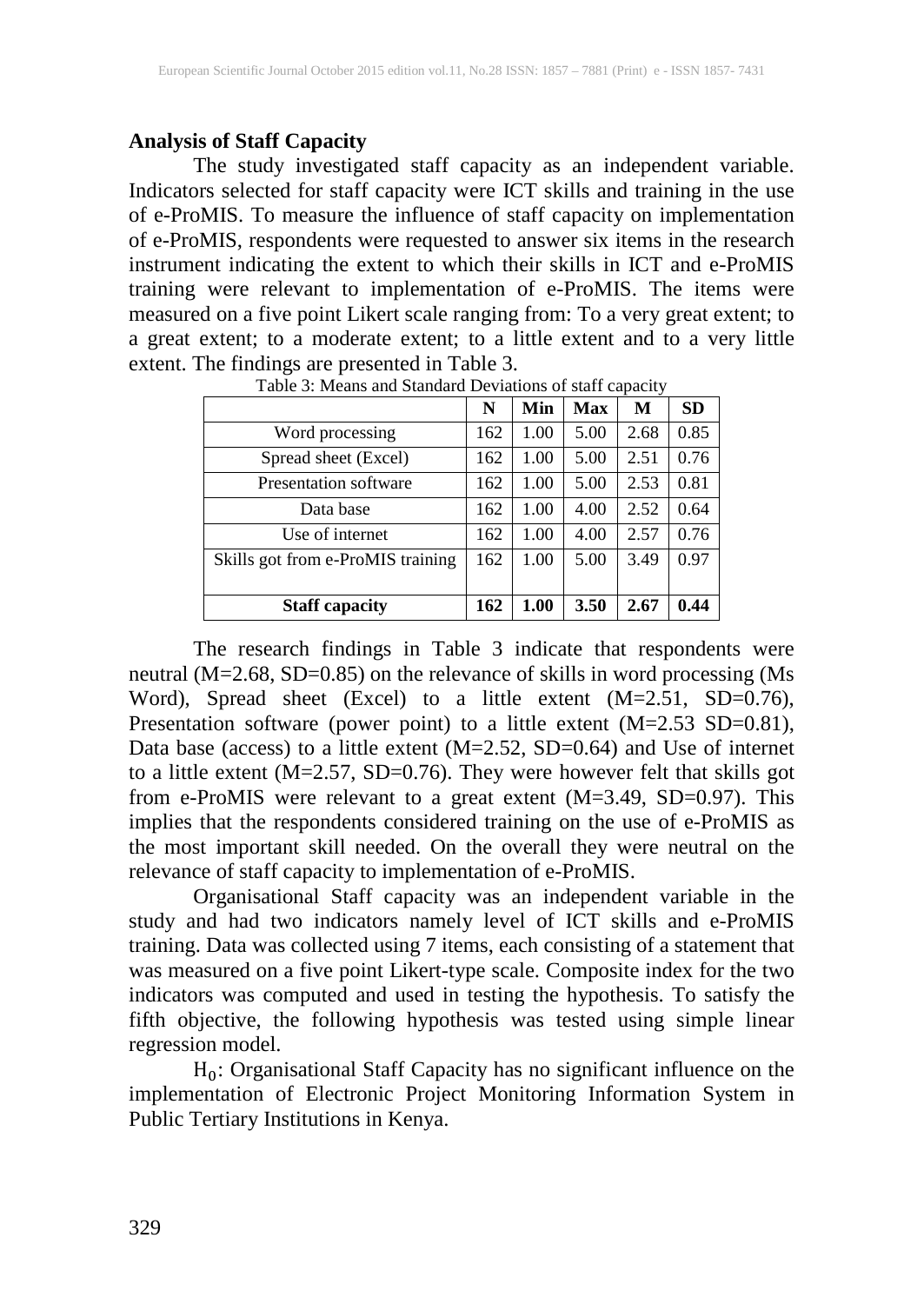## **Analysis of Staff Capacity**

The study investigated staff capacity as an independent variable. Indicators selected for staff capacity were ICT skills and training in the use of e-ProMIS. To measure the influence of staff capacity on implementation of e-ProMIS, respondents were requested to answer six items in the research instrument indicating the extent to which their skills in ICT and e-ProMIS training were relevant to implementation of e-ProMIS. The items were measured on a five point Likert scale ranging from: To a very great extent; to a great extent; to a moderate extent; to a little extent and to a very little extent. The findings are presented in Table 3.

|                                   | N   | Min  | Max  | M    | <b>SD</b> |
|-----------------------------------|-----|------|------|------|-----------|
| Word processing                   | 162 | 1.00 | 5.00 | 2.68 | 0.85      |
| Spread sheet (Excel)              | 162 | 1.00 | 5.00 | 2.51 | 0.76      |
| <b>Presentation software</b>      | 162 | 1.00 | 5.00 | 2.53 | 0.81      |
| Data base                         | 162 | 1.00 | 4.00 | 2.52 | 0.64      |
| Use of internet                   | 162 | 1.00 | 4.00 | 2.57 | 0.76      |
| Skills got from e-ProMIS training | 162 | 1.00 | 5.00 | 3.49 | 0.97      |
|                                   |     |      |      |      |           |
| <b>Staff capacity</b>             | 162 | 1.00 | 3.50 | 2.67 | 0.44      |

Table 3: Means and Standard Deviations of staff capacity

The research findings in Table 3 indicate that respondents were neutral (M=2.68, SD=0.85) on the relevance of skills in word processing (Ms Word), Spread sheet (Excel) to a little extent (M=2.51, SD=0.76), Presentation software (power point) to a little extent (M=2.53 SD=0.81), Data base (access) to a little extent (M=2.52, SD=0.64) and Use of internet to a little extent (M=2.57, SD=0.76). They were however felt that skills got from e-ProMIS were relevant to a great extent (M=3.49, SD=0.97). This implies that the respondents considered training on the use of e-ProMIS as the most important skill needed. On the overall they were neutral on the relevance of staff capacity to implementation of e-ProMIS.

Organisational Staff capacity was an independent variable in the study and had two indicators namely level of ICT skills and e-ProMIS training. Data was collected using 7 items, each consisting of a statement that was measured on a five point Likert-type scale. Composite index for the two indicators was computed and used in testing the hypothesis. To satisfy the fifth objective, the following hypothesis was tested using simple linear regression model.

 $H_0$ : Organisational Staff Capacity has no significant influence on the implementation of Electronic Project Monitoring Information System in Public Tertiary Institutions in Kenya.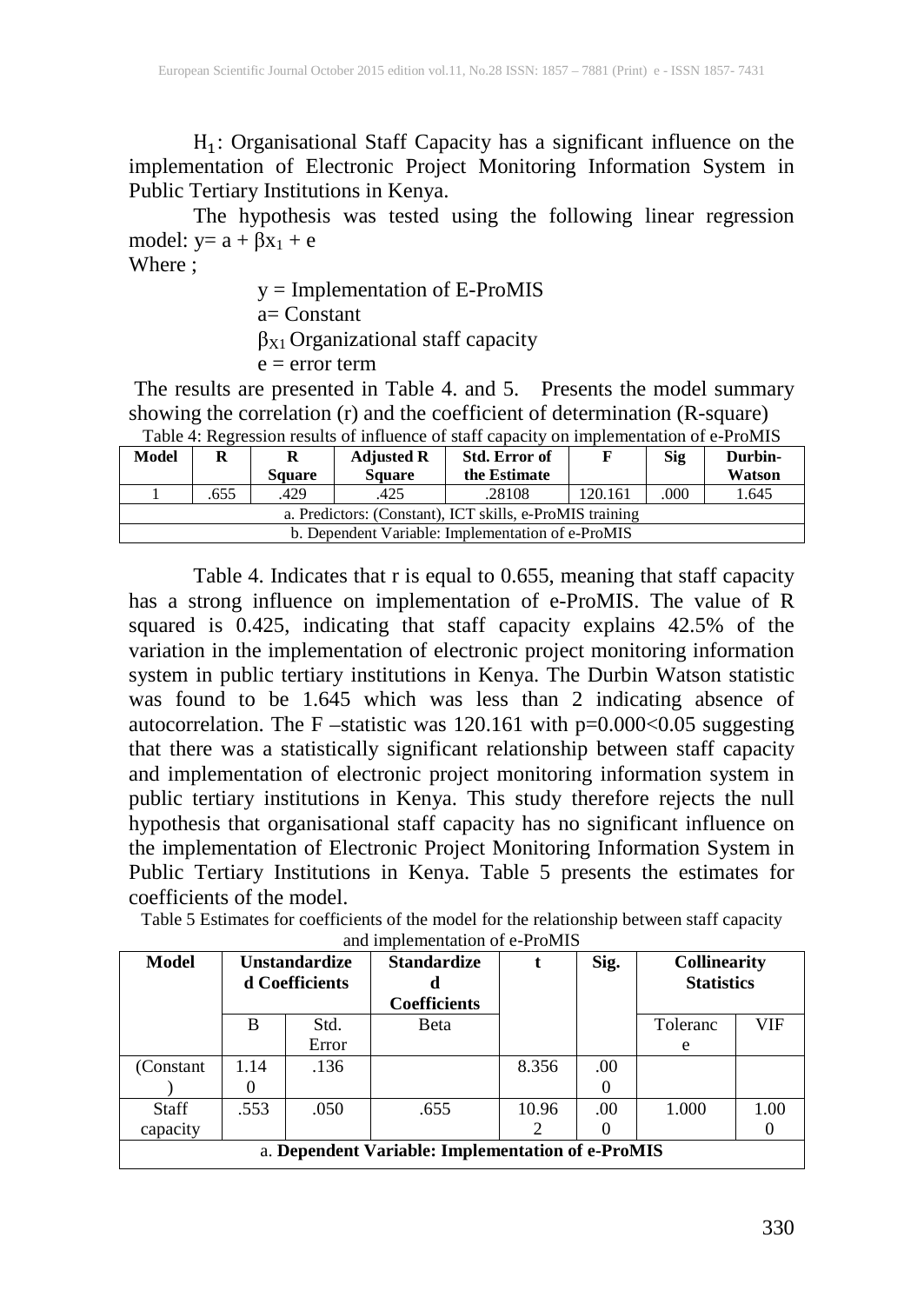$H_1$ : Organisational Staff Capacity has a significant influence on the implementation of Electronic Project Monitoring Information System in Public Tertiary Institutions in Kenya.

The hypothesis was tested using the following linear regression model:  $y = a + \beta x_1 + e$ 

Where ;

y = Implementation of E-ProMIS a= Constant  $\beta_{X1}$  Organizational staff capacity  $e = error term$ 

The results are presented in Table 4. and 5. Presents the model summary showing the correlation (r) and the coefficient of determination (R-square) Table 4: Regression results of influence of staff capacity on implementation of e-ProMIS

| Model                                                    | TWOTA II TIRETANDININ TANAN OT INTIMANTA OT NAMIT AMPARIK<br><b>Std. Error of</b><br><b>Adjusted R</b> |               |               |              | <b>Sig</b> | Durbin- |        |  |
|----------------------------------------------------------|--------------------------------------------------------------------------------------------------------|---------------|---------------|--------------|------------|---------|--------|--|
|                                                          |                                                                                                        | <b>Square</b> | <b>Square</b> | the Estimate |            |         | Watson |  |
|                                                          | .655                                                                                                   | .429          | .425          | .28108       | 120.161    | .000    | 1.645  |  |
| a. Predictors: (Constant), ICT skills, e-ProMIS training |                                                                                                        |               |               |              |            |         |        |  |
| b. Dependent Variable: Implementation of e-ProMIS        |                                                                                                        |               |               |              |            |         |        |  |

Table 4. Indicates that r is equal to 0.655, meaning that staff capacity has a strong influence on implementation of e-ProMIS. The value of R squared is 0.425, indicating that staff capacity explains 42.5% of the variation in the implementation of electronic project monitoring information system in public tertiary institutions in Kenya. The Durbin Watson statistic was found to be 1.645 which was less than 2 indicating absence of autocorrelation. The F –statistic was 120.161 with p=0.000<0.05 suggesting that there was a statistically significant relationship between staff capacity and implementation of electronic project monitoring information system in public tertiary institutions in Kenya. This study therefore rejects the null hypothesis that organisational staff capacity has no significant influence on the implementation of Electronic Project Monitoring Information System in Public Tertiary Institutions in Kenya. Table 5 presents the estimates for coefficients of the model.

| Table 5 Estimates for coefficients of the model for the relationship between staff capacity |
|---------------------------------------------------------------------------------------------|
| and implementation of e-ProMIS                                                              |

| <b>Model</b>                                      | <b>Unstandardize</b><br>d Coefficients |       | <b>Standardize</b><br><b>Coefficients</b> |       | Sig. | <b>Collinearity</b><br><b>Statistics</b> |      |
|---------------------------------------------------|----------------------------------------|-------|-------------------------------------------|-------|------|------------------------------------------|------|
|                                                   | B                                      | Std.  | Beta                                      |       |      | Toleranc                                 | VIF  |
|                                                   |                                        | Error |                                           |       |      | e                                        |      |
| (Constant)                                        | 1.14                                   | .136  |                                           | 8.356 | .00  |                                          |      |
|                                                   |                                        |       |                                           |       |      |                                          |      |
| <b>Staff</b>                                      | .553                                   | .050  | .655                                      | 10.96 | .00  | 1.000                                    | 1.00 |
| capacity                                          |                                        |       |                                           |       |      |                                          |      |
| a. Dependent Variable: Implementation of e-ProMIS |                                        |       |                                           |       |      |                                          |      |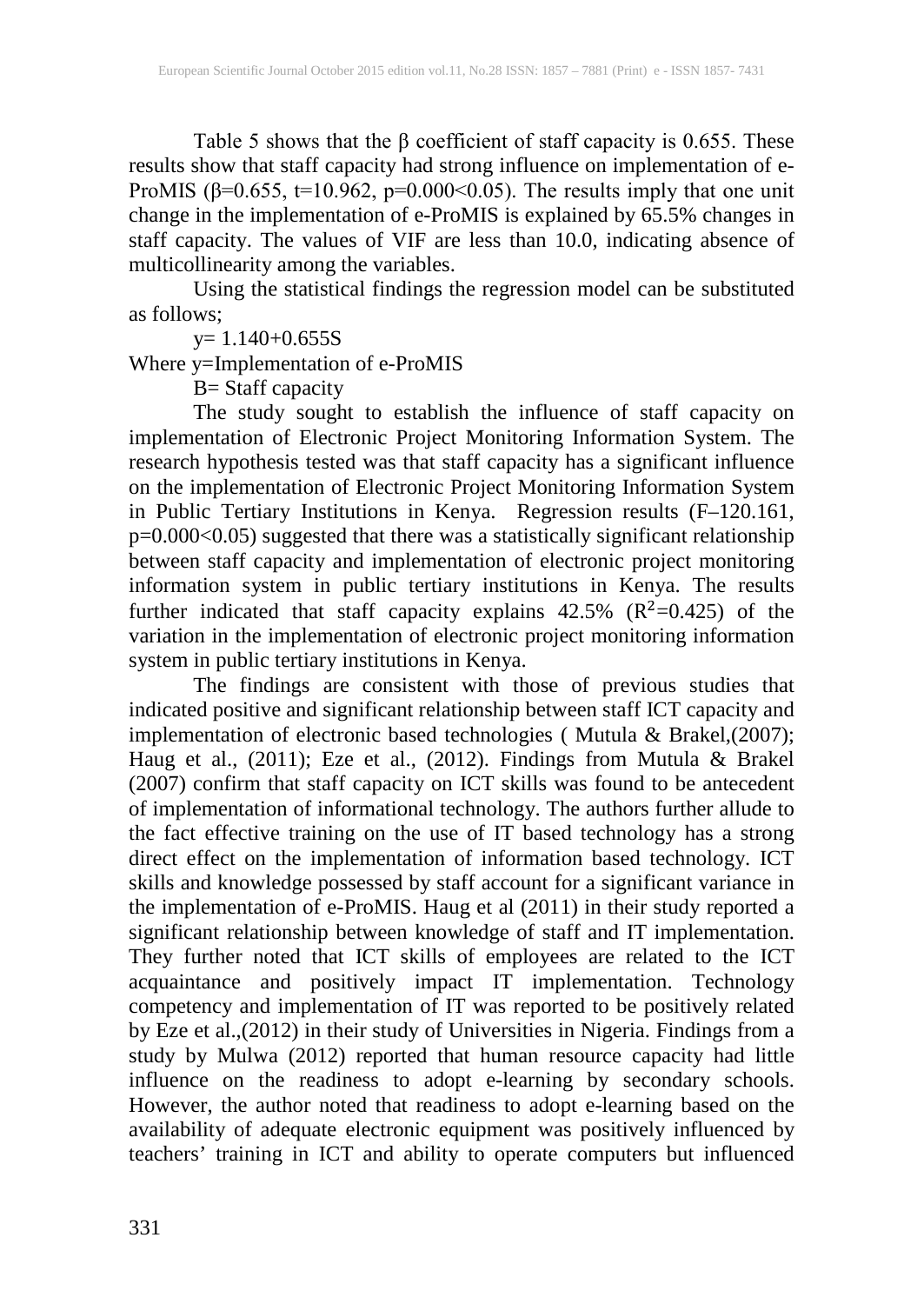Table 5 shows that the  $\beta$  coefficient of staff capacity is 0.655. These results show that staff capacity had strong influence on implementation of e-ProMIS (β=0.655, t=10.962, p=0.000<0.05). The results imply that one unit change in the implementation of e-ProMIS is explained by 65.5% changes in staff capacity. The values of VIF are less than 10.0, indicating absence of multicollinearity among the variables.

Using the statistical findings the regression model can be substituted as follows;

y= 1.140+0.655S

Where y=Implementation of e-ProMIS

B= Staff capacity

The study sought to establish the influence of staff capacity on implementation of Electronic Project Monitoring Information System. The research hypothesis tested was that staff capacity has a significant influence on the implementation of Electronic Project Monitoring Information System in Public Tertiary Institutions in Kenya. Regression results (F–120.161, p=0.000<0.05) suggested that there was a statistically significant relationship between staff capacity and implementation of electronic project monitoring information system in public tertiary institutions in Kenya. The results further indicated that staff capacity explains  $42.5\%$  ( $R^2=0.425$ ) of the variation in the implementation of electronic project monitoring information system in public tertiary institutions in Kenya.

The findings are consistent with those of previous studies that indicated positive and significant relationship between staff ICT capacity and implementation of electronic based technologies ( Mutula & Brakel,(2007); Haug et al., (2011); Eze et al., (2012). Findings from Mutula & Brakel (2007) confirm that staff capacity on ICT skills was found to be antecedent of implementation of informational technology. The authors further allude to the fact effective training on the use of IT based technology has a strong direct effect on the implementation of information based technology. ICT skills and knowledge possessed by staff account for a significant variance in the implementation of e-ProMIS. Haug et al (2011) in their study reported a significant relationship between knowledge of staff and IT implementation. They further noted that ICT skills of employees are related to the ICT acquaintance and positively impact IT implementation. Technology competency and implementation of IT was reported to be positively related by Eze et al.,(2012) in their study of Universities in Nigeria. Findings from a study by Mulwa (2012) reported that human resource capacity had little influence on the readiness to adopt e-learning by secondary schools. However, the author noted that readiness to adopt e-learning based on the availability of adequate electronic equipment was positively influenced by teachers' training in ICT and ability to operate computers but influenced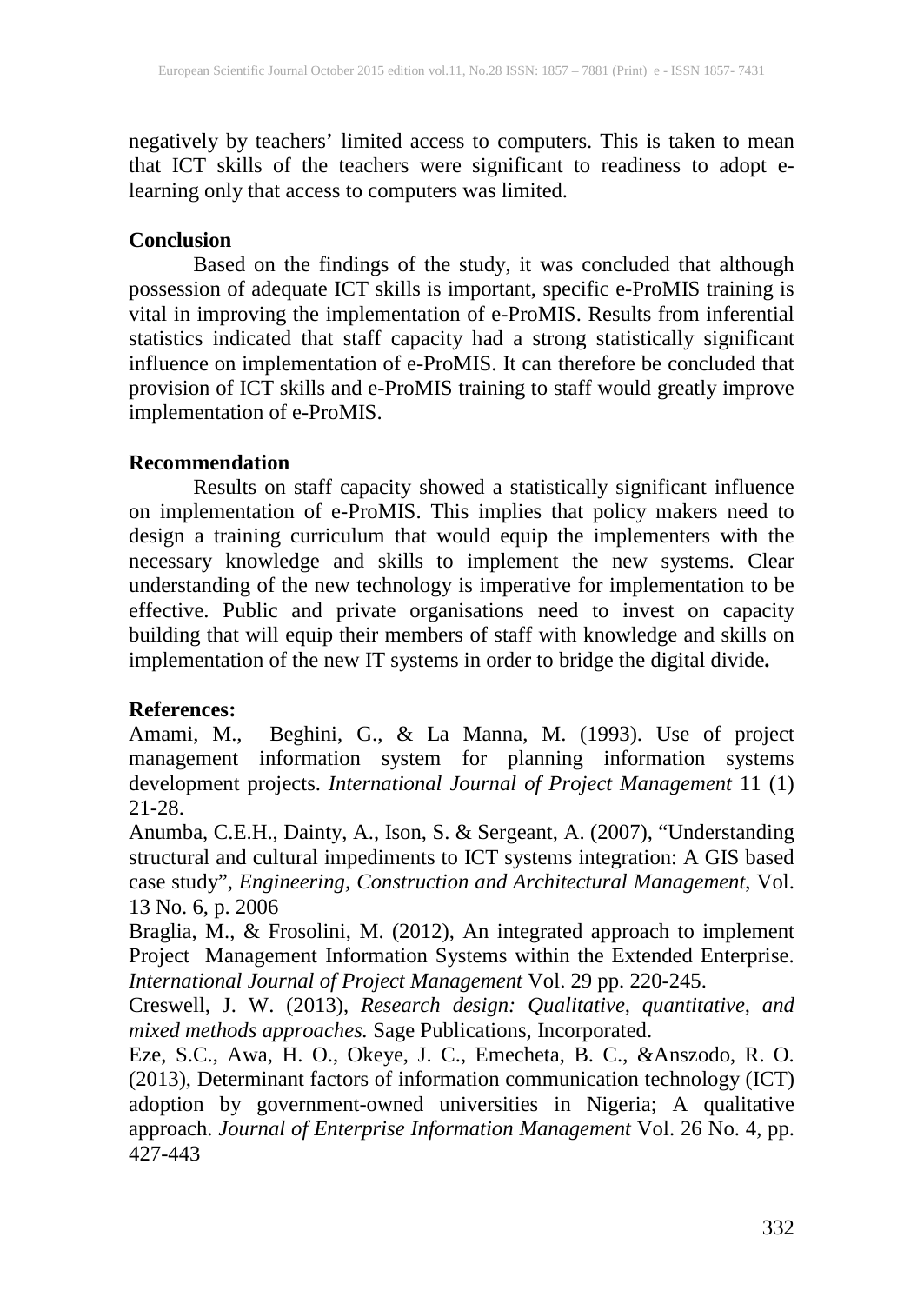negatively by teachers' limited access to computers. This is taken to mean that ICT skills of the teachers were significant to readiness to adopt elearning only that access to computers was limited.

#### **Conclusion**

Based on the findings of the study, it was concluded that although possession of adequate ICT skills is important, specific e-ProMIS training is vital in improving the implementation of e-ProMIS. Results from inferential statistics indicated that staff capacity had a strong statistically significant influence on implementation of e-ProMIS. It can therefore be concluded that provision of ICT skills and e-ProMIS training to staff would greatly improve implementation of e-ProMIS.

## **Recommendation**

Results on staff capacity showed a statistically significant influence on implementation of e-ProMIS. This implies that policy makers need to design a training curriculum that would equip the implementers with the necessary knowledge and skills to implement the new systems. Clear understanding of the new technology is imperative for implementation to be effective. Public and private organisations need to invest on capacity building that will equip their members of staff with knowledge and skills on implementation of the new IT systems in order to bridge the digital divide**.**

## **References:**

Amami, M., Beghini, G., & La Manna, M. (1993). Use of project management information system for planning information systems development projects. *International Journal of Project Management* 11 (1) 21-28.

Anumba, C.E.H., Dainty, A., Ison, S. & Sergeant, A. (2007), "Understanding structural and cultural impediments to ICT systems integration: A GIS based case study", *Engineering, Construction and Architectural Management*, Vol. 13 No. 6, p. 2006

Braglia, M., & Frosolini, M. (2012), An integrated approach to implement Project Management Information Systems within the Extended Enterprise. *International Journal of Project Management* Vol. 29 pp. 220-245.

Creswell, J. W. (2013), *Research design: Qualitative, quantitative, and mixed methods approaches.* Sage Publications, Incorporated.

Eze, S.C., Awa, H. O., Okeye, J. C., Emecheta, B. C., &Anszodo, R. O. (2013), Determinant factors of information communication technology (ICT) adoption by government-owned universities in Nigeria; A qualitative approach. *Journal of Enterprise Information Management* Vol. 26 No. 4, pp. 427-443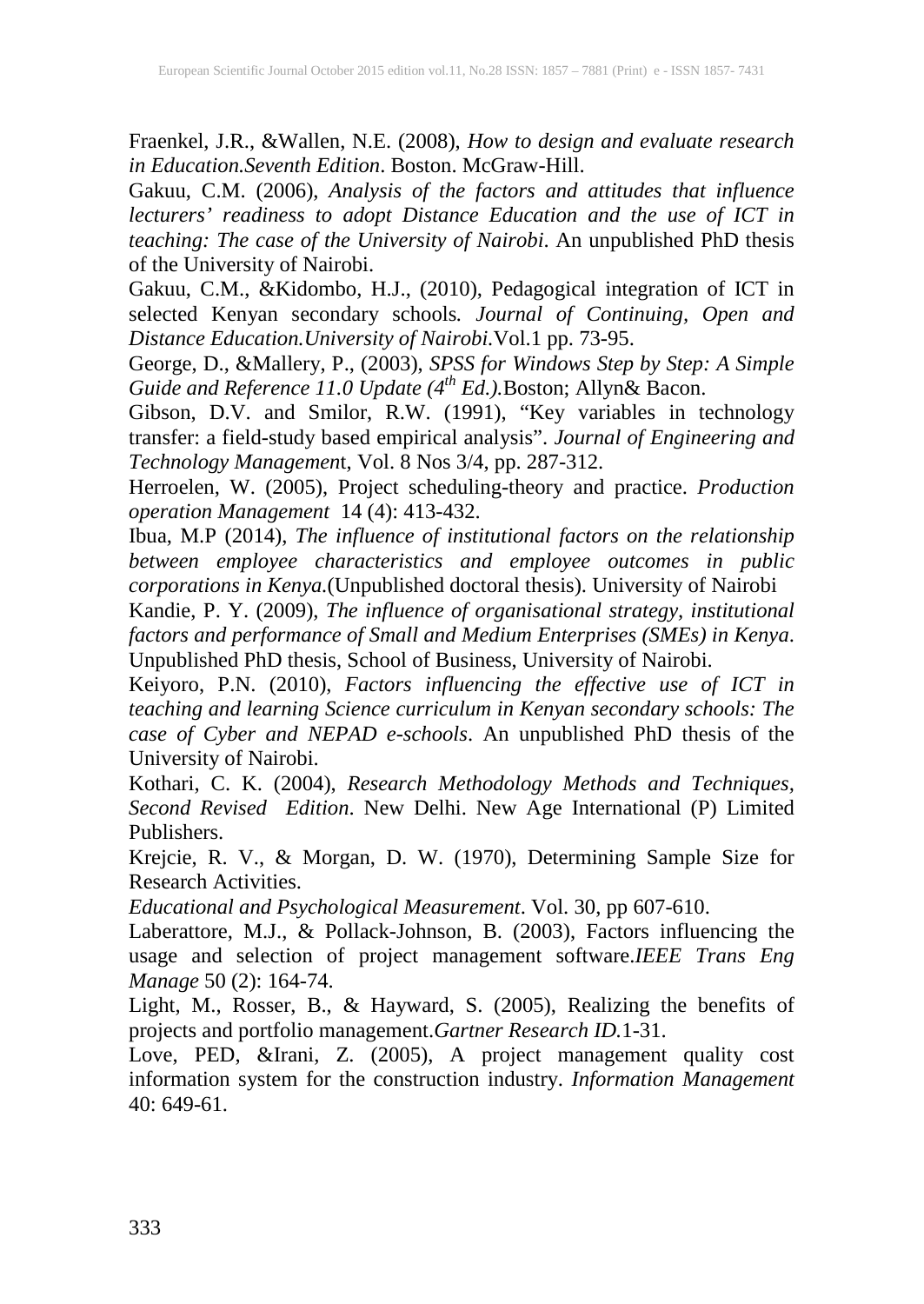Fraenkel, J.R., &Wallen, N.E. (2008), *How to design and evaluate research in Education.Seventh Edition*. Boston. McGraw-Hill.

Gakuu, C.M. (2006), *Analysis of the factors and attitudes that influence lecturers' readiness to adopt Distance Education and the use of ICT in teaching: The case of the University of Nairobi*. An unpublished PhD thesis of the University of Nairobi.

Gakuu, C.M., &Kidombo, H.J., (2010), Pedagogical integration of ICT in selected Kenyan secondary schools*. Journal of Continuing, Open and Distance Education.University of Nairobi.*Vol.1 pp. 73-95.

George, D., &Mallery, P., (2003), *SPSS for Windows Step by Step: A Simple Guide and Reference 11.0 Update (4th Ed.).*Boston; Allyn& Bacon.

Gibson, D.V. and Smilor, R.W. (1991), "Key variables in technology transfer: a field-study based empirical analysis". *Journal of Engineering and Technology Managemen*t, Vol. 8 Nos 3/4, pp. 287-312.

Herroelen, W. (2005), Project scheduling-theory and practice. *Production operation Management* 14 (4): 413-432.

Ibua, M.P (2014), *The influence of institutional factors on the relationship between employee characteristics and employee outcomes in public corporations in Kenya.*(Unpublished doctoral thesis). University of Nairobi

Kandie, P. Y. (2009), *The influence of organisational strategy, institutional factors and performance of Small and Medium Enterprises (SMEs) in Kenya*. Unpublished PhD thesis, School of Business, University of Nairobi.

Keiyoro, P.N. (2010), *Factors influencing the effective use of ICT in teaching and learning Science curriculum in Kenyan secondary schools: The case of Cyber and NEPAD e-schools*. An unpublished PhD thesis of the University of Nairobi.

Kothari, C. K. (2004), *Research Methodology Methods and Techniques, Second Revised Edition*. New Delhi. New Age International (P) Limited Publishers.

Krejcie, R. V., & Morgan, D. W. (1970), Determining Sample Size for Research Activities.

*Educational and Psychological Measurement*. Vol. 30, pp 607-610.

Laberattore, M.J., & Pollack-Johnson, B. (2003), Factors influencing the usage and selection of project management software.*IEEE Trans Eng Manage* 50 (2): 164-74.

Light, M., Rosser, B., & Hayward, S. (2005), Realizing the benefits of projects and portfolio management.*Gartner Research ID.*1-31.

Love, PED, &Irani, Z. (2005), A project management quality cost information system for the construction industry. *Information Management*  $40: 649-61$ .